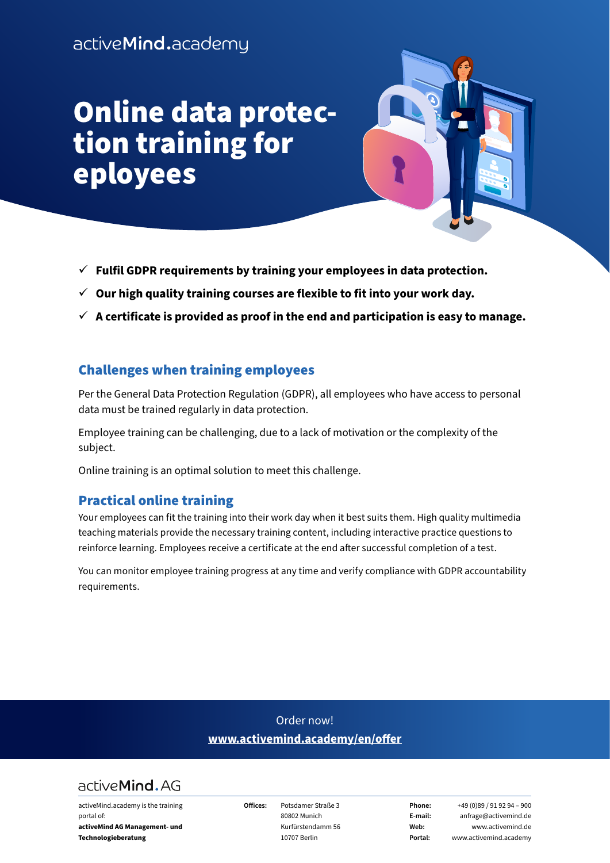# Online data protection training for eployees



- $\checkmark$  Fulfil GDPR requirements by training your employees in data protection.
- $\checkmark$  Our high quality training courses are flexible to fit into your work day.
- $\checkmark$  A certificate is provided as proof in the end and participation is easy to manage.

# Challenges when training employees

Per the General Data Protection Regulation (GDPR), all employees who have access to personal data must be trained regularly in data protection.

Employee training can be challenging, due to a lack of motivation or the complexity of the subject.

Online training is an optimal solution to meet this challenge.

# Practical online training

Your employees can fit the training into their work day when it best suits them. High quality multimedia teaching materials provide the necessary training content, including interactive practice questions to reinforce learning. Employees receive a certificate at the end after successful completion of a test.

You can monitor employee training progress at any time and verify compliance with GDPR accountability requirements.

# Order now! **[www.activemind.academy/en/offer](https://www.activemind.academy/en/offer)**



activeMind.academy is the training portal of: **activeMind AG Management- und Technologieberatung** 

**Offices:** Potsdamer Straße 3 80802 Munich Kurfürstendamm 56 10707 Berlin

**Phone:** +49 (0)89 / 91 92 94 – 900 **E-mail:** anfrage@activemind.de **Web:** www.activemind.de **Portal:** www.activemind.academy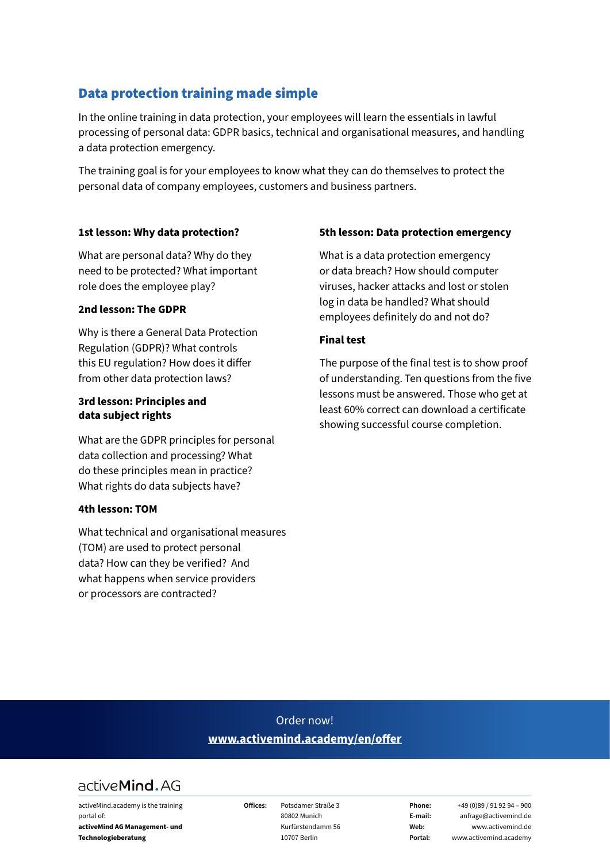# Data protection training made simple

In the online training in data protection, your employees will learn the essentials in lawful processing of personal data: GDPR basics, technical and organisational measures, and handling a data protection emergency.

The training goal is for your employees to know what they can do themselves to protect the personal data of company employees, customers and business partners.

#### **1st lesson: Why data protection?**

What are personal data? Why do they need to be protected? What important role does the employee play?

#### **2nd lesson: The GDPR**

Why is there a General Data Protection Regulation (GDPR)? What controls this EU regulation? How does it differ from other data protection laws?

#### **3rd lesson: Principles and data subject rights**

What are the GDPR principles for personal data collection and processing? What do these principles mean in practice? What rights do data subjects have?

#### **4th lesson: TOM**

What technical and organisational measures (TOM) are used to protect personal data? How can they be verified? And what happens when service providers or processors are contracted?

#### **5th lesson: Data protection emergency**

What is a data protection emergency or data breach? How should computer viruses, hacker attacks and lost or stolen log in data be handled? What should employees definitely do and not do?

#### **Final test**

The purpose of the final test is to show proof of understanding. Ten questions from the five lessons must be answered. Those who get at least 60% correct can download a certificate showing successful course completion.

# Order now! **[www.activemind.academy/en/offer](https://www.activemind.academy/en/offer)**

# active Mind. AG

activeMind.academy is the training portal of: **activeMind AG Management- und Technologieberatung** 

**Offices:** Potsdamer Straße 3 80802 Munich Kurfürstendamm 56 10707 Berlin

**Phone:** +49 (0)89 / 91 92 94 – 900 **E-mail:** anfrage@activemind.de **Web:** www.activemind.de **Portal:** www.activemind.academy